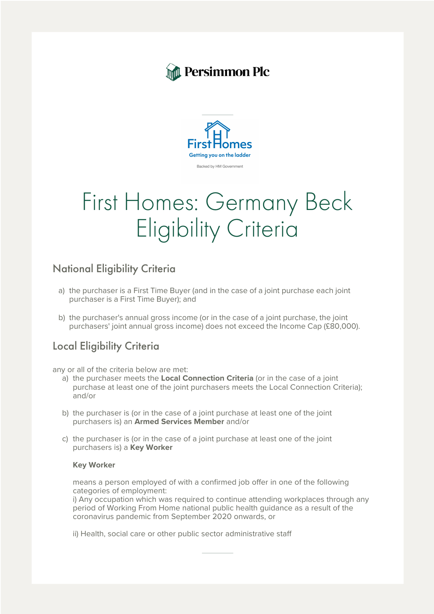



# First Homes: Germany Beck Eligibility Criteria

## National Eligibility Criteria

- a) the purchaser is a First Time Buyer (and in the case of a joint purchase each joint purchaser is a First Time Buyer); and
- b) the purchaser's annual gross income (or in the case of a joint purchase, the joint purchasers' joint annual gross income) does not exceed the Income Cap (£80,000).

### Local Eligibility Criteria

any or all of the criteria below are met:

- a) the purchaser meets the **Local Connection Criteria** (or in the case of a joint purchase at least one of the joint purchasers meets the Local Connection Criteria); and/or
- b) the purchaser is (or in the case of a joint purchase at least one of the joint purchasers is) an **Armed Services Member** and/or
- c) the purchaser is (or in the case of a joint purchase at least one of the joint purchasers is) a **Key Worker**

#### **Key Worker**

means a person employed of with a confirmed job offer in one of the following categories of employment:

i) Any occupation which was required to continue attending workplaces through any period of Working From Home national public health guidance as a result of the coronavirus pandemic from September 2020 onwards, or

ii) Health, social care or other public sector administrative staff